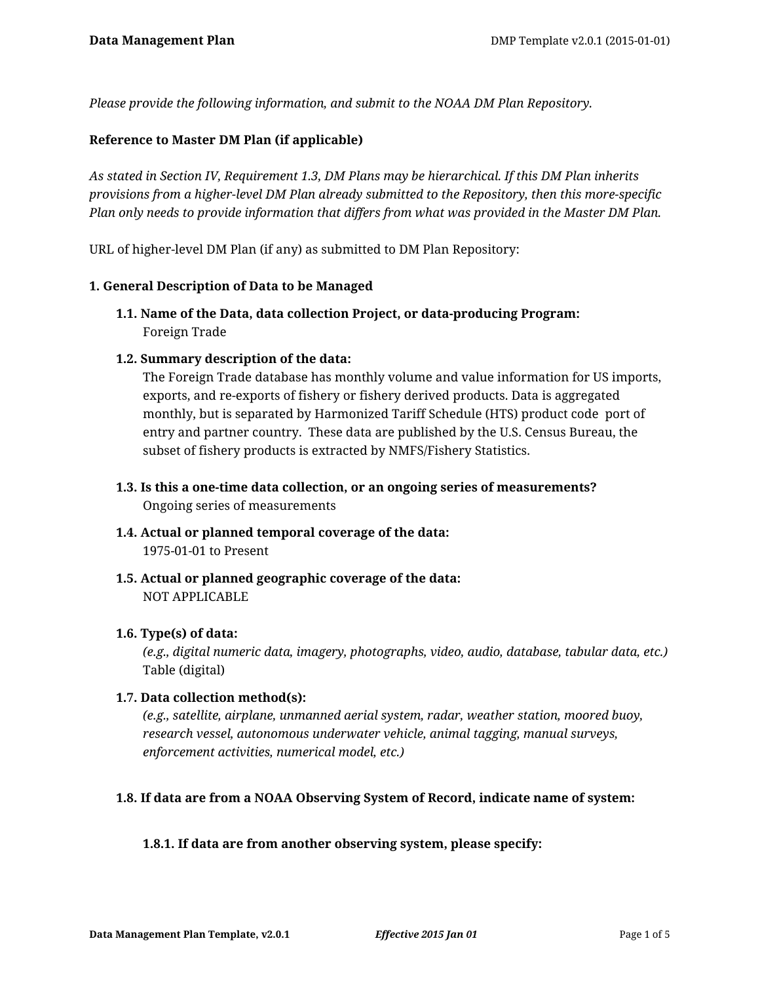*Please provide the following information, and submit to the NOAA DM Plan Repository.*

## **Reference to Master DM Plan (if applicable)**

*As stated in Section IV, Requirement 1.3, DM Plans may be hierarchical. If this DM Plan inherits provisions from a higher-level DM Plan already submitted to the Repository, then this more-specific Plan only needs to provide information that differs from what was provided in the Master DM Plan.*

URL of higher-level DM Plan (if any) as submitted to DM Plan Repository:

## **1. General Description of Data to be Managed**

**1.1. Name of the Data, data collection Project, or data-producing Program:** Foreign Trade

## **1.2. Summary description of the data:**

The Foreign Trade database has monthly volume and value information for US imports, exports, and re-exports of fishery or fishery derived products. Data is aggregated monthly, but is separated by Harmonized Tariff Schedule (HTS) product code port of entry and partner country. These data are published by the U.S. Census Bureau, the subset of fishery products is extracted by NMFS/Fishery Statistics.

- **1.3. Is this a one-time data collection, or an ongoing series of measurements?** Ongoing series of measurements
- **1.4. Actual or planned temporal coverage of the data:** 1975-01-01 to Present
- **1.5. Actual or planned geographic coverage of the data:** NOT APPLICABLE

## **1.6. Type(s) of data:**

*(e.g., digital numeric data, imagery, photographs, video, audio, database, tabular data, etc.)* Table (digital)

## **1.7. Data collection method(s):**

*(e.g., satellite, airplane, unmanned aerial system, radar, weather station, moored buoy, research vessel, autonomous underwater vehicle, animal tagging, manual surveys, enforcement activities, numerical model, etc.)*

## **1.8. If data are from a NOAA Observing System of Record, indicate name of system:**

## **1.8.1. If data are from another observing system, please specify:**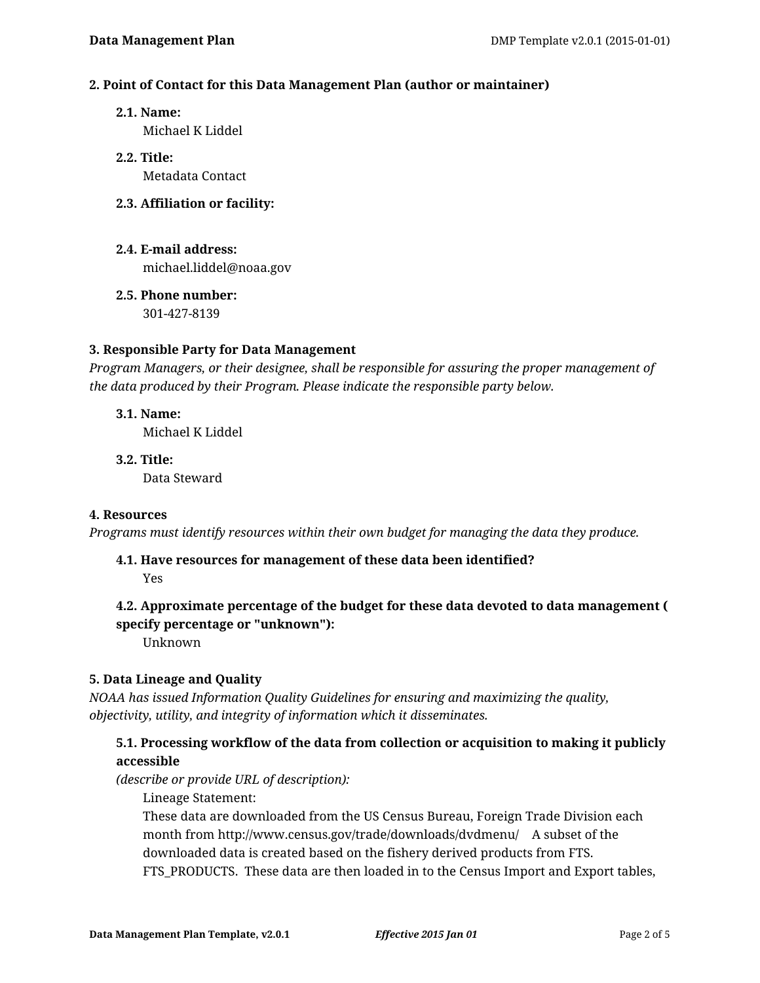## **2. Point of Contact for this Data Management Plan (author or maintainer)**

**2.1. Name:**

Michael K Liddel

- **2.2. Title:** Metadata Contact
- **2.3. Affiliation or facility:**
- **2.4. E-mail address:** michael.liddel@noaa.gov
- **2.5. Phone number:** 301-427-8139

**3. Responsible Party for Data Management**

*Program Managers, or their designee, shall be responsible for assuring the proper management of the data produced by their Program. Please indicate the responsible party below.*

- **3.1. Name:** Michael K Liddel
- **3.2. Title:** Data Steward

## **4. Resources**

*Programs must identify resources within their own budget for managing the data they produce.*

# **4.1. Have resources for management of these data been identified?**

Yes

# **4.2. Approximate percentage of the budget for these data devoted to data management ( specify percentage or "unknown"):**

Unknown

# **5. Data Lineage and Quality**

*NOAA has issued Information Quality Guidelines for ensuring and maximizing the quality, objectivity, utility, and integrity of information which it disseminates.*

# **5.1. Processing workflow of the data from collection or acquisition to making it publicly accessible**

*(describe or provide URL of description):*

Lineage Statement:

These data are downloaded from the US Census Bureau, Foreign Trade Division each month from http://www.census.gov/trade/downloads/dvdmenu/ A subset of the downloaded data is created based on the fishery derived products from FTS. FTS\_PRODUCTS. These data are then loaded in to the Census Import and Export tables,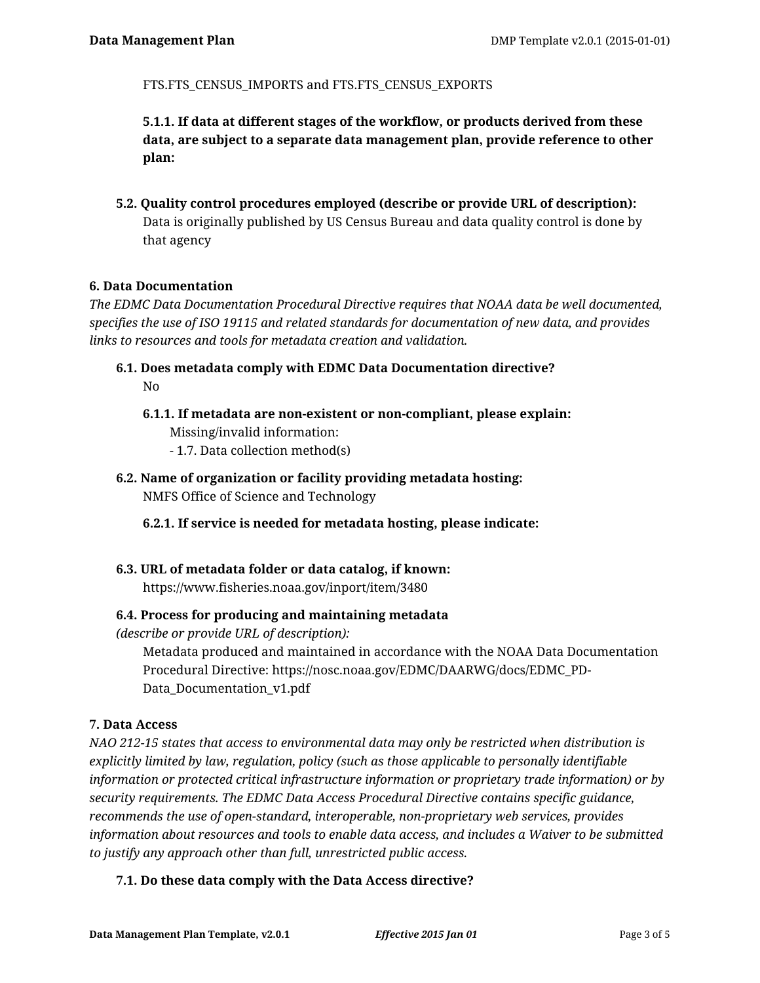FTS.FTS CENSUS IMPORTS and FTS.FTS CENSUS EXPORTS

**5.1.1. If data at different stages of the workflow, or products derived from these data, are subject to a separate data management plan, provide reference to other plan:**

**5.2. Quality control procedures employed (describe or provide URL of description):** Data is originally published by US Census Bureau and data quality control is done by that agency

# **6. Data Documentation**

*The EDMC Data Documentation Procedural Directive requires that NOAA data be well documented, specifies the use of ISO 19115 and related standards for documentation of new data, and provides links to resources and tools for metadata creation and validation.*

- **6.1. Does metadata comply with EDMC Data Documentation directive?** No
	- **6.1.1. If metadata are non-existent or non-compliant, please explain:** Missing/invalid information:
		- 1.7. Data collection method(s)
- **6.2. Name of organization or facility providing metadata hosting:** NMFS Office of Science and Technology

**6.2.1. If service is needed for metadata hosting, please indicate:**

**6.3. URL of metadata folder or data catalog, if known:** https://www.fisheries.noaa.gov/inport/item/3480

# **6.4. Process for producing and maintaining metadata**

*(describe or provide URL of description):*

Metadata produced and maintained in accordance with the NOAA Data Documentation Procedural Directive: https://nosc.noaa.gov/EDMC/DAARWG/docs/EDMC\_PD-Data\_Documentation\_v1.pdf

## **7. Data Access**

*NAO 212-15 states that access to environmental data may only be restricted when distribution is explicitly limited by law, regulation, policy (such as those applicable to personally identifiable information or protected critical infrastructure information or proprietary trade information) or by security requirements. The EDMC Data Access Procedural Directive contains specific guidance, recommends the use of open-standard, interoperable, non-proprietary web services, provides information about resources and tools to enable data access, and includes a Waiver to be submitted to justify any approach other than full, unrestricted public access.*

# **7.1. Do these data comply with the Data Access directive?**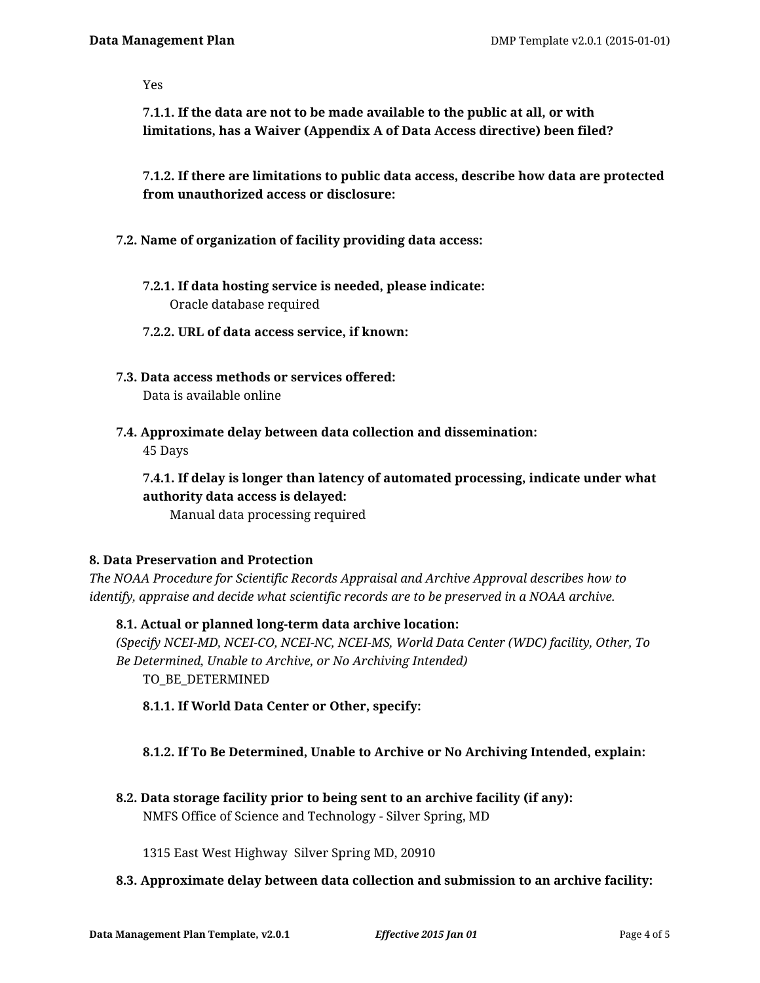Yes

**7.1.1. If the data are not to be made available to the public at all, or with limitations, has a Waiver (Appendix A of Data Access directive) been filed?**

**7.1.2. If there are limitations to public data access, describe how data are protected from unauthorized access or disclosure:**

- **7.2. Name of organization of facility providing data access:**
	- **7.2.1. If data hosting service is needed, please indicate:** Oracle database required
	- **7.2.2. URL of data access service, if known:**
- **7.3. Data access methods or services offered:** Data is available online
- **7.4. Approximate delay between data collection and dissemination:** 45 Days

**7.4.1. If delay is longer than latency of automated processing, indicate under what authority data access is delayed:**

Manual data processing required

# **8. Data Preservation and Protection**

*The NOAA Procedure for Scientific Records Appraisal and Archive Approval describes how to identify, appraise and decide what scientific records are to be preserved in a NOAA archive.*

**8.1. Actual or planned long-term data archive location:** *(Specify NCEI-MD, NCEI-CO, NCEI-NC, NCEI-MS, World Data Center (WDC) facility, Other, To Be Determined, Unable to Archive, or No Archiving Intended)* TO\_BE\_DETERMINED

**8.1.1. If World Data Center or Other, specify:**

# **8.1.2. If To Be Determined, Unable to Archive or No Archiving Intended, explain:**

**8.2. Data storage facility prior to being sent to an archive facility (if any):** NMFS Office of Science and Technology - Silver Spring, MD

1315 East West Highway Silver Spring MD, 20910

**8.3. Approximate delay between data collection and submission to an archive facility:**